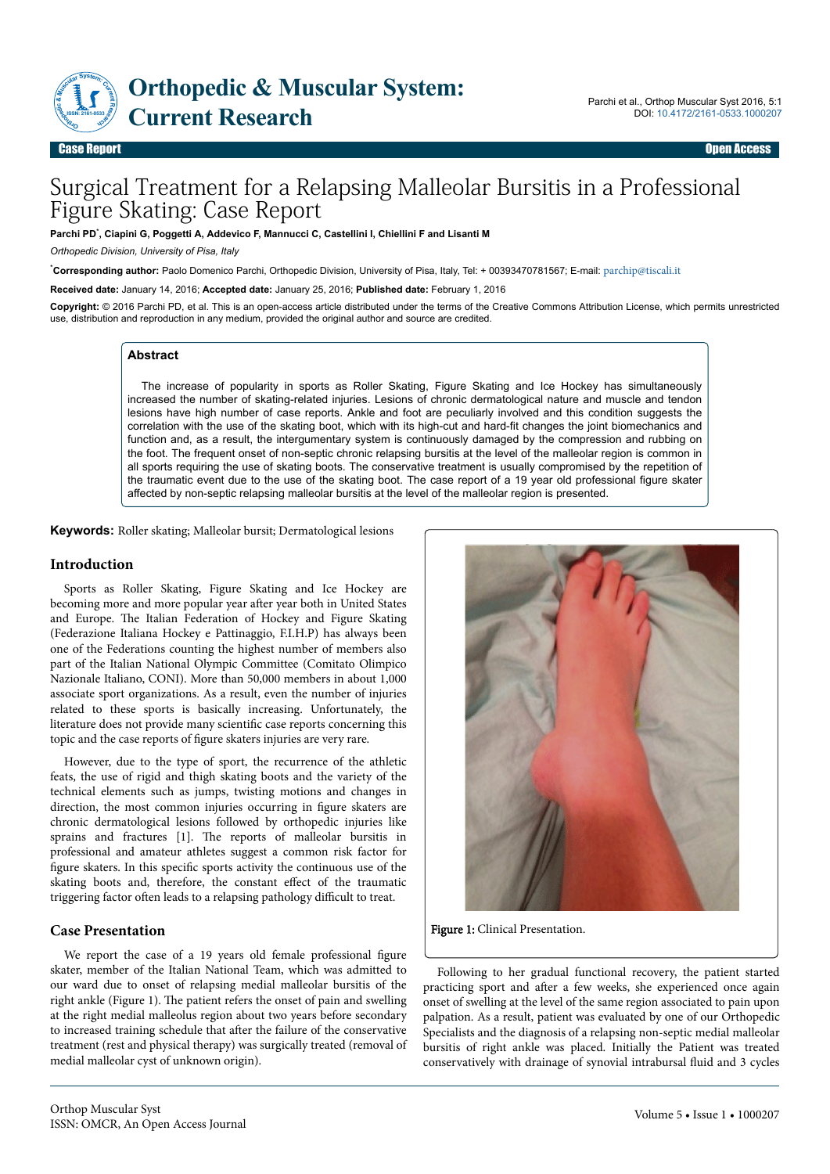

# Surgical Treatment for a Relapsing Malleolar Bursitis in a Professional Figure Skating: Case Report

**Parchi PD**\* **, Ciapini G, Poggetti A, Addevico F, Mannucci C, Castellini I, Chiellini F and Lisanti M**

*Orthopedic Division, University of Pisa, Italy*

\***Corresponding author:** Paolo Domenico Parchi, Orthopedic Division, University of Pisa, Italy, Tel: + 00393470781567; E-mail: [parchip@tiscali.it](mailto:parchip@tiscali.it)

**Received date:** January 14, 2016; **Accepted date:** January 25, 2016; **Published date:** February 1, 2016

**Copyright:** © 2016 Parchi PD, et al. This is an open-access article distributed under the terms of the Creative Commons Attribution License, which permits unrestricted use, distribution and reproduction in any medium, provided the original author and source are credited.

### **Abstract**

The increase of popularity in sports as Roller Skating, Figure Skating and Ice Hockey has simultaneously increased the number of skating-related injuries. Lesions of chronic dermatological nature and muscle and tendon lesions have high number of case reports. Ankle and foot are peculiarly involved and this condition suggests the correlation with the use of the skating boot, which with its high-cut and hard-fit changes the joint biomechanics and function and, as a result, the intergumentary system is continuously damaged by the compression and rubbing on the foot. The frequent onset of non-septic chronic relapsing bursitis at the level of the malleolar region is common in all sports requiring the use of skating boots. The conservative treatment is usually compromised by the repetition of the traumatic event due to the use of the skating boot. The case report of a 19 year old professional figure skater affected by non-septic relapsing malleolar bursitis at the level of the malleolar region is presented.

**Keywords:** Roller skating; Malleolar bursit; Dermatological lesions

## **Introduction**

Sports as Roller Skating, Figure Skating and Ice Hockey are becoming more and more popular year after year both in United States and Europe. Нe Italian Federation of Hockey and Figure Skating (Federazione Italiana Hockey e Pattinaggio, F.I.H.P) has always been one of the Federations counting the highest number of members also part of the Italian National Olympic Committee (Comitato Olimpico Nazionale Italiano, CONI). More than 50,000 members in about 1,000 associate sport organizations. As a result, even the number of injuries related to these sports is basically increasing. Unfortunately, the literature does not provide many scientific case reports concerning this topic and the case reports of figure skaters injuries are very rare.

However, due to the type of sport, the recurrence of the athletic feats, the use of rigid and thigh skating boots and the variety of the technical elements such as jumps, twisting motions and changes in direction, the most common injuries occurring in figure skaters are chronic dermatological lesions followed by orthopedic injuries like sprains and fractures [1]. Нe reports of malleolar bursitis in professional and amateur athletes suggest a common risk factor for figure skaters. In this specific sports activity the continuous use of the skating boots and, therefore, the constant effect of the traumatic triggering factor often leads to a relapsing pathology difficult to treat.

# **Case Presentation**

We report the case of a 19 years old female professional figure skater, member of the Italian National Team, which was admitted to our ward due to onset of relapsing medial malleolar bursitis of the right ankle (Figure 1). Нe patient refers the onset of pain and swelling at the right medial malleolus region about two years before secondary to increased training schedule that after the failure of the conservative treatment (rest and physical therapy) was surgically treated (removal of medial malleolar cyst of unknown origin).



Figure 1: Clinical Presentation.

Following to her gradual functional recovery, the patient started practicing sport and after a few weeks, she experienced once again onset of swelling at the level of the same region associated to pain upon palpation. As a result, patient was evaluated by one of our Orthopedic Specialists and the diagnosis of a relapsing non-septic medial malleolar bursitis of right ankle was placed. Initially the Patient was treated conservatively with drainage of synovial intrabursal fluid and 3 cycles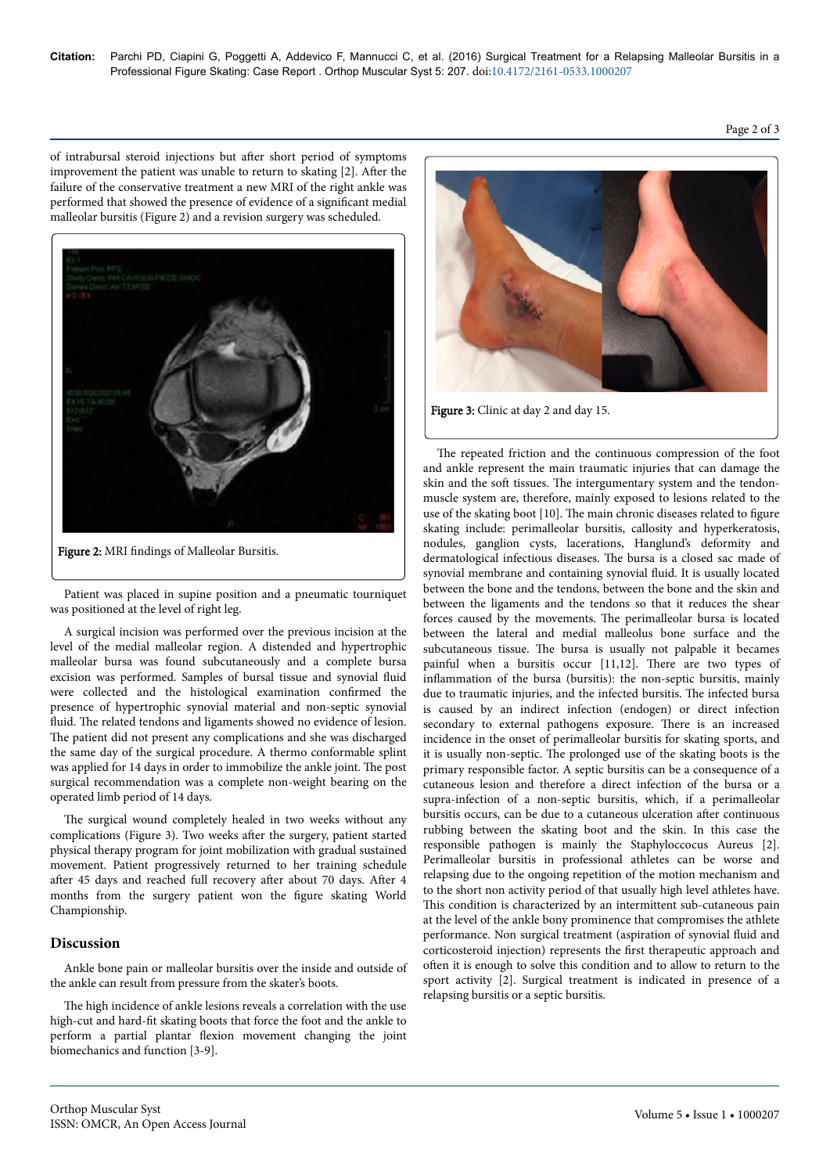Page 2 of 3

of intrabursal steroid injections but after short period of symptoms improvement the patient was unable to return to skating  $[2]$ . After the failure of the conservative treatment a new MRI of the right ankle was performed that showed the presence of evidence of a significant medial malleolar bursitis (Figure 2) and a revision surgery was scheduled.



Figure 2: MRI findings of Malleolar Bursitis.

Patient was placed in supine position and a pneumatic tourniquet was positioned at the level of right leg.

A surgical incision was performed over the previous incision at the level of the medial malleolar region. A distended and hypertrophic malleolar bursa was found subcutaneously and a complete bursa excision was performed. Samples of bursal tissue and synovial fluid were collected and the histological examination confirmed the presence of hypertrophic synovial material and non-septic synovial fluid. The related tendons and ligaments showed no evidence of lesion. The patient did not present any complications and she was discharged the same day of the surgical procedure. A thermo conformable splint was applied for 14 days in order to immobilize the ankle joint. Нe post surgical recommendation was a complete non-weight bearing on the operated limb period of 14 days.

The surgical wound completely healed in two weeks without any complications (Figure 3). Two weeks after the surgery, patient started physical therapy program for joint mobilization with gradual sustained movement. Patient progressively returned to her training schedule after 45 days and reached full recovery after about 70 days. After 4 months from the surgery patient won the figure skating World Championship.

# **Discussion**

Ankle bone pain or malleolar bursitis over the inside and outside of the ankle can result from pressure from the skater's boots.

The high incidence of ankle lesions reveals a correlation with the use high-cut and hard-fit skating boots that force the foot and the ankle to perform a partial plantar flexion movement changing the joint biomechanics and function [3-9].



Figure 3: Clinic at day 2 and day 15.

The repeated friction and the continuous compression of the foot and ankle represent the main traumatic injuries that can damage the skin and the soft tissues. The intergumentary system and the tendonmuscle system are, therefore, mainly exposed to lesions related to the use of the skating boot [10]. Нe main chronic diseases related to figure skating include: perimalleolar bursitis, callosity and hyperkeratosis, nodules, ganglion cysts, lacerations, Hanglund's deformity and dermatological infectious diseases. Нe bursa is a closed sac made of synovial membrane and containing synovial fluid. It is usually located between the bone and the tendons, between the bone and the skin and between the ligaments and the tendons so that it reduces the shear forces caused by the movements. Нe perimalleolar bursa is located between the lateral and medial malleolus bone surface and the subcutaneous tissue. Нe bursa is usually not palpable it becames painful when a bursitis occur [11,12]. Нere are two types of inflammation of the bursa (bursitis): the non-septic bursitis, mainly due to traumatic injuries, and the infected bursitis. Нe infected bursa is caused by an indirect infection (endogen) or direct infection secondary to external pathogens exposure. Нere is an increased incidence in the onset of perimalleolar bursitis for skating sports, and it is usually non-septic. Нe prolonged use of the skating boots is the primary responsible factor. A septic bursitis can be a consequence of a cutaneous lesion and therefore a direct infection of the bursa or a supra-infection of a non-septic bursitis, which, if a perimalleolar bursitis occurs, can be due to a cutaneous ulceration after continuous rubbing between the skating boot and the skin. In this case the responsible pathogen is mainly the Staphyloccocus Aureus [2]. Perimalleolar bursitis in professional athletes can be worse and relapsing due to the ongoing repetition of the motion mechanism and to the short non activity period of that usually high level athletes have. This condition is characterized by an intermittent sub-cutaneous pain at the level of the ankle bony prominence that compromises the athlete performance. Non surgical treatment (aspiration of synovial fluid and corticosteroid injection) represents the first therapeutic approach and often it is enough to solve this condition and to allow to return to the sport activity [2]. Surgical treatment is indicated in presence of a relapsing bursitis or a septic bursitis.